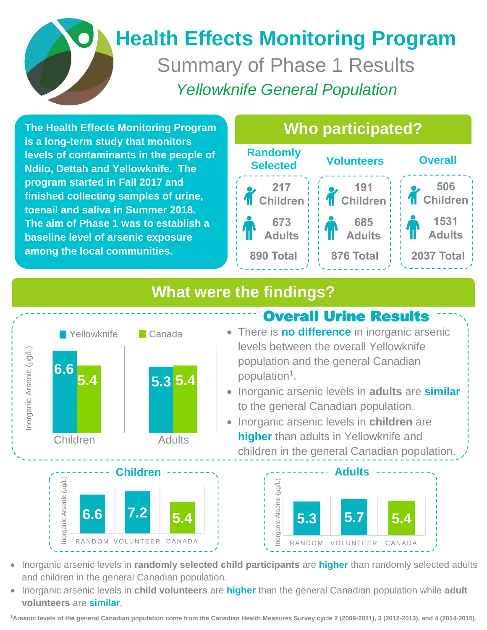# **Health Effects Monitoring Program** Summary of Phase 1 Results *Yellowknife General Population*

**The Health Effects Monitoring Program is a long-term study that monitors levels of contaminants in the people of Ndilo, Dettah and Yellowknife. The program started in Fall 2017 and finished collecting samples of urine, toenail and saliva in Summer 2018. The aim of Phase 1 was to establish a baseline level of arsenic exposure among the local communities.**

#### j **Overall Volunteers Randomly Selected 217 Children 673 Adults 890 Total 191 Children 685 Adults 876 Total Total873 506 Children 1531 Adults 2037 Total Who participated?**

# **What were the findings?**





 levels between the overall Yellowknife There is **no difference** in inorganic arsenic population and the general Canadian population**<sup>1</sup>** .

Overall Urine Results

- **•** Inorganic arsenic levels in **adults** are **similar** to the general Canadian population.
- Inorganic arsenic levels in **children** are **higher** than adults in Yellowknife and children in the general Canadian population.



- Inorganic arsenic levels in **randomly selected child participants** are **higher** than randomly selected adults and children in the general Canadian population.
- Inorganic arsenic levels in **child volunteers** are **higher** than the general Canadian population while **adult volunteers** are **similar**.

**<sup>1</sup>Arsenic levels of the general Canadian population come from the Canadian Health Measures Survey cycle 2 (2009-2011), 3 (2012-2013), and 4 (2014-2015).**